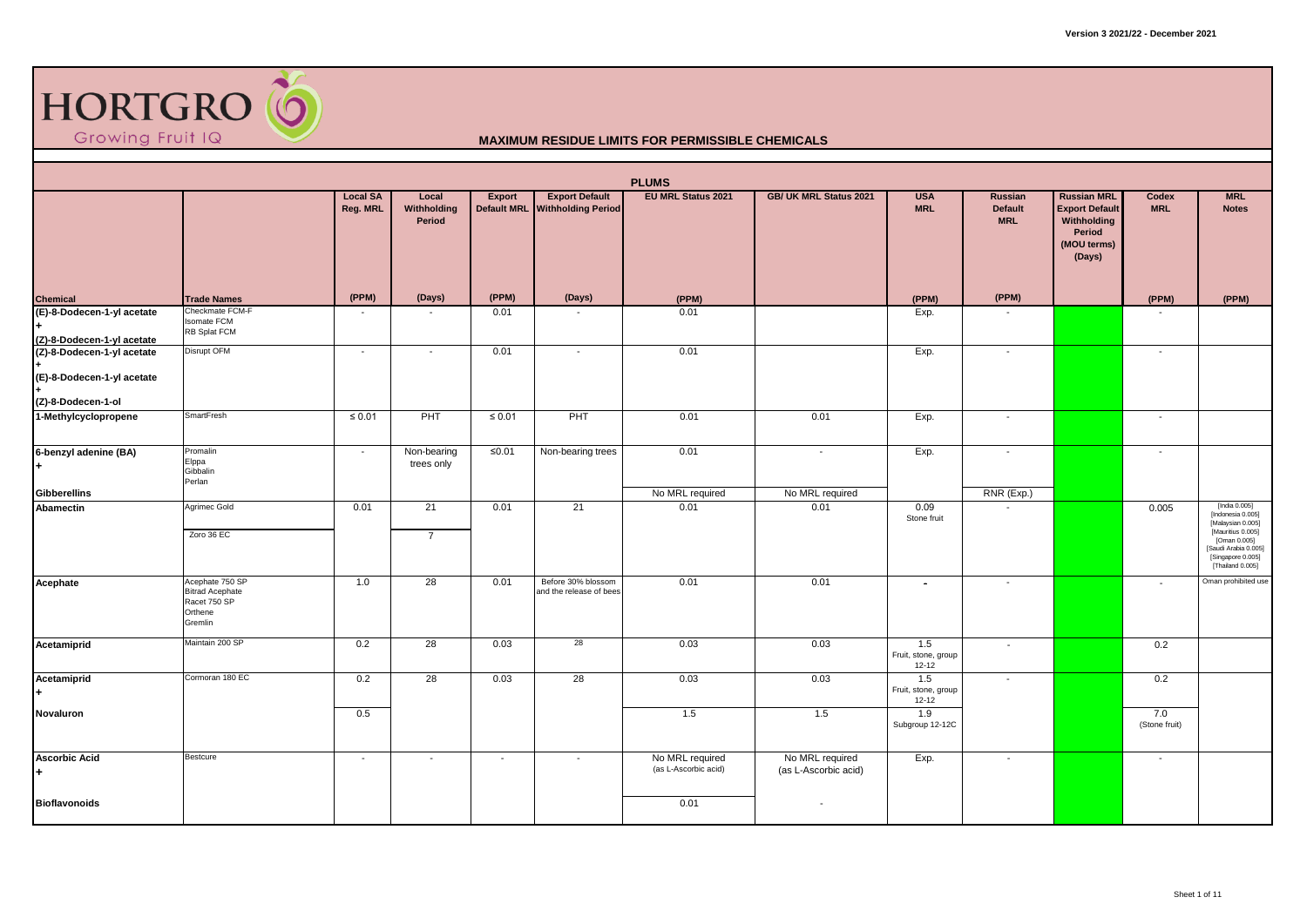

| <b>PLUMS</b><br><b>Export Default</b><br><b>EU MRL Status 2021</b><br>GB/ UK MRL Status 2021<br><b>MRL</b><br><b>Local SA</b><br><b>USA</b><br><b>Russian</b><br><b>Russian MRL</b><br>Local<br>Export<br>Codex<br>Reg. MRL<br><b>Default MRL</b><br><b>Withholding Period</b><br>Withholding<br><b>MRL</b><br><b>Export Default</b><br><b>MRL</b><br><b>Default</b><br><b>Notes</b> |                                                                                 |                          |                           |                          |                                               |                                         |                                         |                                         |                          |                                                |                          |                                                                                                                                                               |  |  |
|--------------------------------------------------------------------------------------------------------------------------------------------------------------------------------------------------------------------------------------------------------------------------------------------------------------------------------------------------------------------------------------|---------------------------------------------------------------------------------|--------------------------|---------------------------|--------------------------|-----------------------------------------------|-----------------------------------------|-----------------------------------------|-----------------------------------------|--------------------------|------------------------------------------------|--------------------------|---------------------------------------------------------------------------------------------------------------------------------------------------------------|--|--|
|                                                                                                                                                                                                                                                                                                                                                                                      |                                                                                 |                          | Period                    |                          |                                               |                                         |                                         |                                         | <b>MRL</b>               | Withholding<br>Period<br>(MOU terms)<br>(Days) |                          |                                                                                                                                                               |  |  |
| <b>Chemical</b>                                                                                                                                                                                                                                                                                                                                                                      | <b>Trade Names</b>                                                              | (PPM)                    | (Days)                    | (PPM)                    | (Days)                                        | (PPM)                                   |                                         | (PPM)                                   | (PPM)                    |                                                | (PPM)                    | (PPM)                                                                                                                                                         |  |  |
| (E)-8-Dodecen-1-yl acetate<br>(Z)-8-Dodecen-1-yl acetate                                                                                                                                                                                                                                                                                                                             | Checkmate FCM-F<br><b>Isomate FCM</b><br>RB Splat FCM                           |                          |                           | 0.01                     |                                               | 0.01                                    |                                         | Exp.                                    |                          |                                                |                          |                                                                                                                                                               |  |  |
| (Z)-8-Dodecen-1-yl acetate<br>(E)-8-Dodecen-1-yl acetate<br>(Z)-8-Dodecen-1-ol                                                                                                                                                                                                                                                                                                       | <b>Disrupt OFM</b>                                                              | $\sim$                   | $\overline{\phantom{a}}$  | 0.01                     | $\overline{\phantom{a}}$                      | 0.01                                    |                                         | Exp.                                    | $\sim$                   |                                                | $\sim$                   |                                                                                                                                                               |  |  |
| 1-Methylcyclopropene                                                                                                                                                                                                                                                                                                                                                                 | <b>SmartFresh</b>                                                               | $\leq 0.01$              | PHT                       | $\leq 0.01$              | PHT                                           | 0.01                                    | 0.01                                    | Exp.                                    | $\overline{\phantom{a}}$ |                                                | $\sim$                   |                                                                                                                                                               |  |  |
| 6-benzyl adenine (BA)                                                                                                                                                                                                                                                                                                                                                                | Promalin<br>Elppa<br>Gibbalin<br>Perlan                                         | $\sim$                   | Non-bearing<br>trees only | $≤0.01$                  | Non-bearing trees                             | 0.01                                    | $\overline{\phantom{a}}$                | Exp.                                    | $\overline{\phantom{a}}$ |                                                | $\sim$                   |                                                                                                                                                               |  |  |
| <b>Gibberellins</b>                                                                                                                                                                                                                                                                                                                                                                  |                                                                                 |                          |                           |                          |                                               | No MRL required                         | No MRL required                         |                                         | RNR (Exp.)               |                                                |                          |                                                                                                                                                               |  |  |
| Abamectin                                                                                                                                                                                                                                                                                                                                                                            | Agrimec Gold<br>Zoro 36 EC                                                      | 0.01                     | 21<br>$\overline{7}$      | 0.01                     | 21                                            | 0.01                                    | 0.01                                    | 0.09<br>Stone fruit                     |                          |                                                | 0.005                    | [India 0.005]<br>[Indonesia 0.005]<br>[Malaysian 0.005]<br>[Mauritius 0.005]<br>[Oman 0.005]<br>[Saudi Arabia 0.005]<br>[Singapore 0.005]<br>[Thailand 0.005] |  |  |
| Acephate                                                                                                                                                                                                                                                                                                                                                                             | Acephate 750 SP<br><b>Bitrad Acephate</b><br>Racet 750 SP<br>Orthene<br>Gremlin | 1.0                      | 28                        | 0.01                     | Before 30% blossom<br>and the release of bees | 0.01                                    | 0.01                                    | $\blacksquare$                          | $\overline{\phantom{a}}$ |                                                | $\overline{\phantom{a}}$ | Oman prohibited use                                                                                                                                           |  |  |
| Acetamiprid                                                                                                                                                                                                                                                                                                                                                                          | Maintain 200 SP                                                                 | 0.2                      | 28                        | 0.03                     | 28                                            | 0.03                                    | 0.03                                    | 1.5<br>Fruit, stone, group<br>$12 - 12$ | $\sim$                   |                                                | 0.2                      |                                                                                                                                                               |  |  |
| Acetamiprid                                                                                                                                                                                                                                                                                                                                                                          | Cormoran 180 EC                                                                 | 0.2                      | 28                        | 0.03                     | 28                                            | 0.03                                    | 0.03                                    | 1.5<br>Fruit, stone, group<br>$12 - 12$ | $\overline{\phantom{a}}$ |                                                | 0.2                      |                                                                                                                                                               |  |  |
| Novaluron                                                                                                                                                                                                                                                                                                                                                                            |                                                                                 | 0.5                      |                           |                          |                                               | 1.5                                     | 1.5                                     | 1.9<br>Subgroup 12-12C                  |                          |                                                | 7.0<br>(Stone fruit)     |                                                                                                                                                               |  |  |
| <b>Ascorbic Acid</b>                                                                                                                                                                                                                                                                                                                                                                 | <b>Bestcure</b>                                                                 | $\overline{\phantom{a}}$ | $\overline{\phantom{a}}$  | $\overline{\phantom{a}}$ | $\overline{\phantom{a}}$                      | No MRL required<br>(as L-Ascorbic acid) | No MRL required<br>(as L-Ascorbic acid) | Exp.                                    | $\overline{\phantom{a}}$ |                                                | $\overline{\phantom{a}}$ |                                                                                                                                                               |  |  |
| <b>Bioflavonoids</b>                                                                                                                                                                                                                                                                                                                                                                 |                                                                                 |                          |                           |                          |                                               | 0.01                                    |                                         |                                         |                          |                                                |                          |                                                                                                                                                               |  |  |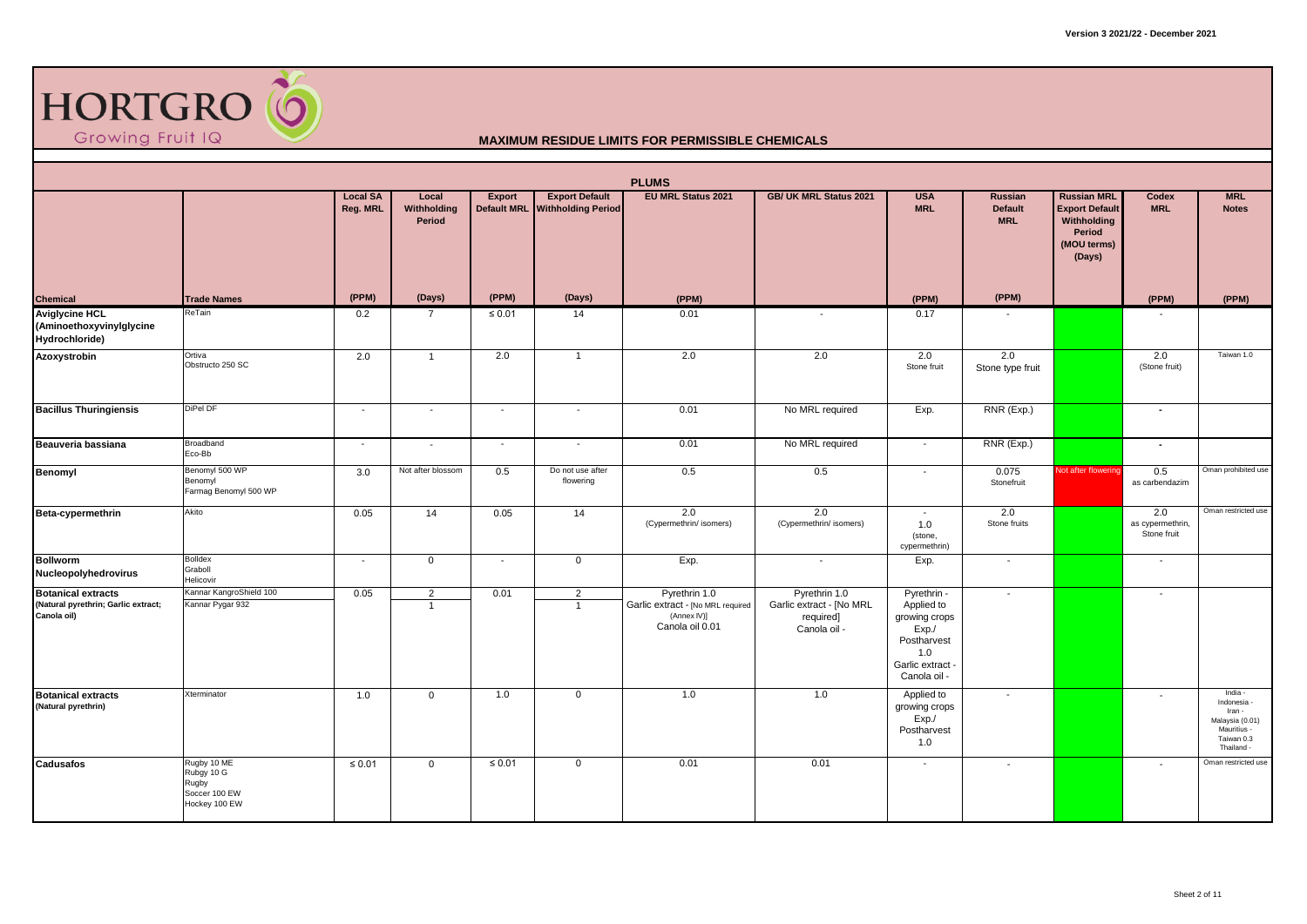

|                                                                                 | <b>PLUMS</b><br><b>EU MRL Status 2021</b><br><b>Local SA</b><br><b>Export Default</b><br>GB/ UK MRL Status 2021<br><b>USA</b><br><b>Russian</b><br><b>Russian MRL</b><br><b>MRL</b><br>Local<br>Export<br><b>Codex</b> |                          |                                |                    |                               |                                                                                      |                                                                        |                                                                                                              |                              |                                                                         |                                        |                                                                                                |  |  |
|---------------------------------------------------------------------------------|------------------------------------------------------------------------------------------------------------------------------------------------------------------------------------------------------------------------|--------------------------|--------------------------------|--------------------|-------------------------------|--------------------------------------------------------------------------------------|------------------------------------------------------------------------|--------------------------------------------------------------------------------------------------------------|------------------------------|-------------------------------------------------------------------------|----------------------------------------|------------------------------------------------------------------------------------------------|--|--|
|                                                                                 |                                                                                                                                                                                                                        | Reg. MRL                 | Withholding<br>Period          | <b>Default MRL</b> | <b>Withholding Period</b>     |                                                                                      |                                                                        | <b>MRL</b>                                                                                                   | <b>Default</b><br><b>MRL</b> | <b>Export Default</b><br>Withholding<br>Period<br>(MOU terms)<br>(Days) | <b>MRL</b>                             | <b>Notes</b>                                                                                   |  |  |
| Chemical                                                                        | <b>Trade Names</b>                                                                                                                                                                                                     | (PPM)                    | (Days)                         | (PPM)              | (Days)                        | (PPM)                                                                                |                                                                        | (PPM)                                                                                                        | (PPM)                        |                                                                         | (PPM)                                  | (PPM)                                                                                          |  |  |
| <b>Aviglycine HCL</b><br>(Aminoethoxyvinylglycine<br>Hydrochloride)             | ReTain                                                                                                                                                                                                                 | 0.2                      | $\overline{7}$                 | $\leq 0.01$        | 14                            | 0.01                                                                                 |                                                                        | 0.17                                                                                                         |                              |                                                                         |                                        |                                                                                                |  |  |
| Azoxystrobin                                                                    | Ortiva<br>Obstructo 250 SC                                                                                                                                                                                             | 2.0                      | $\mathbf{1}$                   | 2.0                | $\overline{1}$                | 2.0                                                                                  | 2.0                                                                    | 2.0<br>Stone fruit                                                                                           | 2.0<br>Stone type fruit      |                                                                         | 2.0<br>(Stone fruit)                   | Taiwan 1.0                                                                                     |  |  |
| <b>Bacillus Thuringiensis</b>                                                   | DiPel DF                                                                                                                                                                                                               | $\overline{\phantom{a}}$ | $\blacksquare$                 | $\sim$             | $\overline{\phantom{a}}$      | 0.01                                                                                 | No MRL required                                                        | Exp.                                                                                                         | RNR (Exp.)                   |                                                                         | $\sim$                                 |                                                                                                |  |  |
| Beauveria bassiana                                                              | Broadband<br>Eco-Bb                                                                                                                                                                                                    | $\sim$                   | $\overline{\phantom{a}}$       | $\sim$             | $\overline{\phantom{a}}$      | 0.01                                                                                 | No MRL required                                                        | $\sim$                                                                                                       | RNR (Exp.)                   |                                                                         | $\sim$                                 |                                                                                                |  |  |
| Benomyl                                                                         | Benomyl 500 WP<br>Benomyl<br>Farmag Benomyl 500 WP                                                                                                                                                                     | 3.0                      | Not after blossom              | 0.5                | Do not use after<br>flowering | 0.5                                                                                  | 0.5                                                                    | $\overline{\phantom{a}}$                                                                                     | 0.075<br>Stonefruit          | Not after flowering                                                     | 0.5<br>as carbendazim                  | Oman prohibited use                                                                            |  |  |
| Beta-cypermethrin                                                               | Akito                                                                                                                                                                                                                  | 0.05                     | 14                             | 0.05               | 14                            | 2.0<br>(Cypermethrin/ isomers)                                                       | 2.0<br>(Cypermethrin/ isomers)                                         | $\sim$<br>1.0<br>(stone,<br>cypermethrin)                                                                    | 2.0<br>Stone fruits          |                                                                         | 2.0<br>as cypermethrin,<br>Stone fruit | Oman restricted use                                                                            |  |  |
| <b>Bollworm</b><br>Nucleopolyhedrovirus                                         | <b>Bolldex</b><br>Graboll<br>Helicovir                                                                                                                                                                                 | $\overline{\phantom{a}}$ | $\mathbf 0$                    | $\sim$             | $\mathbf 0$                   | Exp.                                                                                 | $\overline{\phantom{a}}$                                               | Exp.                                                                                                         | $\overline{\phantom{a}}$     |                                                                         | $\overline{\phantom{a}}$               |                                                                                                |  |  |
| <b>Botanical extracts</b><br>(Natural pyrethrin; Garlic extract;<br>Canola oil) | Kannar KangroShield 100<br>Kannar Pygar 932                                                                                                                                                                            | 0.05                     | $\overline{2}$<br>$\mathbf{1}$ | 0.01               | 2<br>$\overline{1}$           | Pyrethrin 1.0<br>Garlic extract - [No MRL required<br>(Annex IV)]<br>Canola oil 0.01 | Pyrethrin 1.0<br>Garlic extract - [No MRL<br>required]<br>Canola oil - | Pyrethrin -<br>Applied to<br>growing crops<br>Exp.<br>Postharvest<br>1.0<br>Garlic extract -<br>Canola oil - | $\overline{\phantom{a}}$     |                                                                         | $\sim$                                 |                                                                                                |  |  |
| <b>Botanical extracts</b><br>(Natural pyrethrin)                                | Xterminator                                                                                                                                                                                                            | 1.0                      | $\mathbf{0}$                   | 1.0                | $\mathbf 0$                   | 1.0                                                                                  | 1.0                                                                    | Applied to<br>growing crops<br>Exp./<br>Postharvest<br>1.0                                                   | $\overline{\phantom{a}}$     |                                                                         |                                        | India -<br>Indonesia -<br>Iran -<br>Malaysia (0.01)<br>Mauritius -<br>Taiwan 0.3<br>Thailand - |  |  |
| Cadusafos                                                                       | Rugby 10 ME<br>Rubgy 10 G<br>Rugby<br>Soccer 100 EW<br>Hockey 100 EW                                                                                                                                                   | $\leq 0.01$              | $\mathbf 0$                    | $\leq 0.01$        | $\mathsf{O}$                  | 0.01                                                                                 | 0.01                                                                   | $\sim$                                                                                                       | $\overline{\phantom{a}}$     |                                                                         | $\overline{\phantom{a}}$               | Oman restricted use                                                                            |  |  |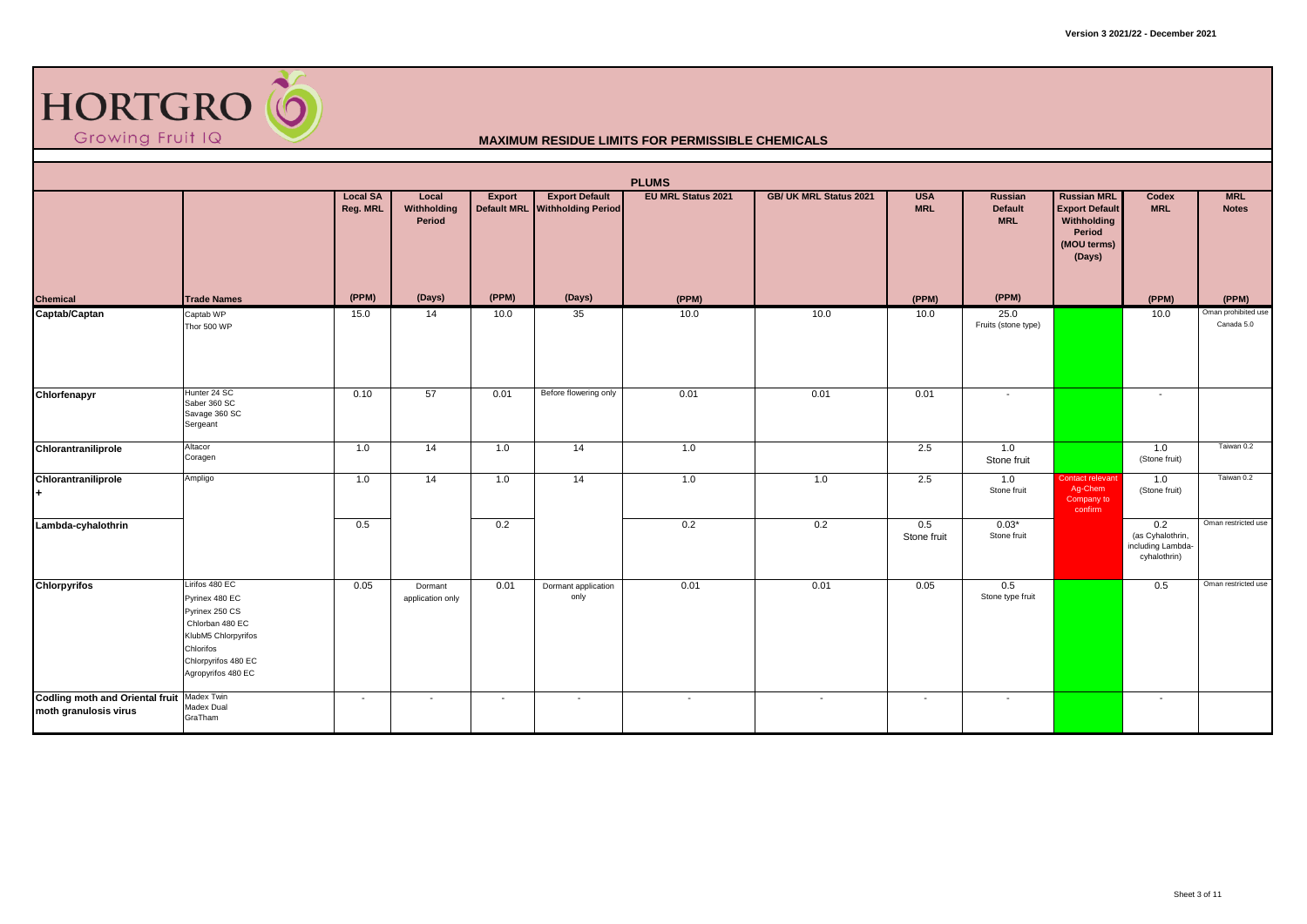

|                                                                     |                                                                                                                                                        |                             |                                |                          |                                                         | <b>PLUMS</b>              |                        |                          |                                         |                                                                                               |                                                              |                                   |
|---------------------------------------------------------------------|--------------------------------------------------------------------------------------------------------------------------------------------------------|-----------------------------|--------------------------------|--------------------------|---------------------------------------------------------|---------------------------|------------------------|--------------------------|-----------------------------------------|-----------------------------------------------------------------------------------------------|--------------------------------------------------------------|-----------------------------------|
|                                                                     |                                                                                                                                                        | <b>Local SA</b><br>Reg. MRL | Local<br>Withholding<br>Period | Export                   | <b>Export Default</b><br>Default MRL Withholding Period | <b>EU MRL Status 2021</b> | GB/ UK MRL Status 2021 | <b>USA</b><br><b>MRL</b> | Russian<br><b>Default</b><br><b>MRL</b> | <b>Russian MRL</b><br><b>Export Default</b><br>Withholding<br>Period<br>(MOU terms)<br>(Days) | Codex<br><b>MRL</b>                                          | <b>MRL</b><br><b>Notes</b>        |
| <b>Chemical</b>                                                     | <b>Trade Names</b>                                                                                                                                     | (PPM)                       | (Days)                         | (PPM)                    | (Days)                                                  | (PPM)                     |                        | (PPM)                    | (PPM)                                   |                                                                                               | (PPM)                                                        | (PPM)                             |
| Captab/Captan                                                       | Captab WP<br>Thor 500 WP                                                                                                                               | 15.0                        | 14                             | 10.0                     | 35                                                      | 10.0                      | 10.0                   | 10.0                     | 25.0<br>Fruits (stone type)             |                                                                                               | 10.0                                                         | Oman prohibited use<br>Canada 5.0 |
| Chlorfenapyr                                                        | Hunter 24 SC<br>Saber 360 SC<br>Savage 360 SC<br>Sergeant                                                                                              | 0.10                        | 57                             | 0.01                     | Before flowering only                                   | 0.01                      | 0.01                   | 0.01                     |                                         |                                                                                               |                                                              |                                   |
| Chlorantraniliprole                                                 | Altacor<br>Coragen                                                                                                                                     | 1.0                         | 14                             | 1.0                      | $\overline{14}$                                         | 1.0                       |                        | 2.5                      | 1.0<br>Stone fruit                      |                                                                                               | 1.0<br>(Stone fruit)                                         | Taiwan 0.2                        |
| Chlorantraniliprole<br>٠.                                           | Ampligo                                                                                                                                                | 1.0                         | 14                             | 1.0                      | 14                                                      | 1.0                       | 1.0                    | 2.5                      | 1.0<br>Stone fruit                      | Contact relevant<br>Ag-Chem<br>Company to<br>confirm                                          | 1.0<br>(Stone fruit)                                         | Taiwan 0.2                        |
| Lambda-cyhalothrin                                                  |                                                                                                                                                        | 0.5                         |                                | 0.2                      |                                                         | 0.2                       | 0.2                    | 0.5<br>Stone fruit       | $0.03*$<br>Stone fruit                  |                                                                                               | 0.2<br>(as Cyhalothrin,<br>including Lambda-<br>cyhalothrin) | Oman restricted use               |
| <b>Chlorpyrifos</b>                                                 | Lirifos 480 EC<br>Pyrinex 480 EC<br>Pyrinex 250 CS<br>Chlorban 480 EC<br>KlubM5 Chlorpyrifos<br>Chlorifos<br>Chlorpyrifos 480 EC<br>Agropyrifos 480 EC | 0.05                        | Dormant<br>application only    | 0.01                     | Dormant application<br>only                             | 0.01                      | 0.01                   | 0.05                     | 0.5<br>Stone type fruit                 |                                                                                               | 0.5                                                          | Oman restricted use               |
| Codling moth and Oriental fruit Madex Twin<br>moth granulosis virus | Madex Dual<br>GraTham                                                                                                                                  | $\overline{\phantom{0}}$    | $\overline{\phantom{a}}$       | $\overline{\phantom{a}}$ | $\overline{\phantom{a}}$                                | $\sim$                    | $\sim$                 | $\sim$                   | $\sim$                                  |                                                                                               | $\sim$                                                       |                                   |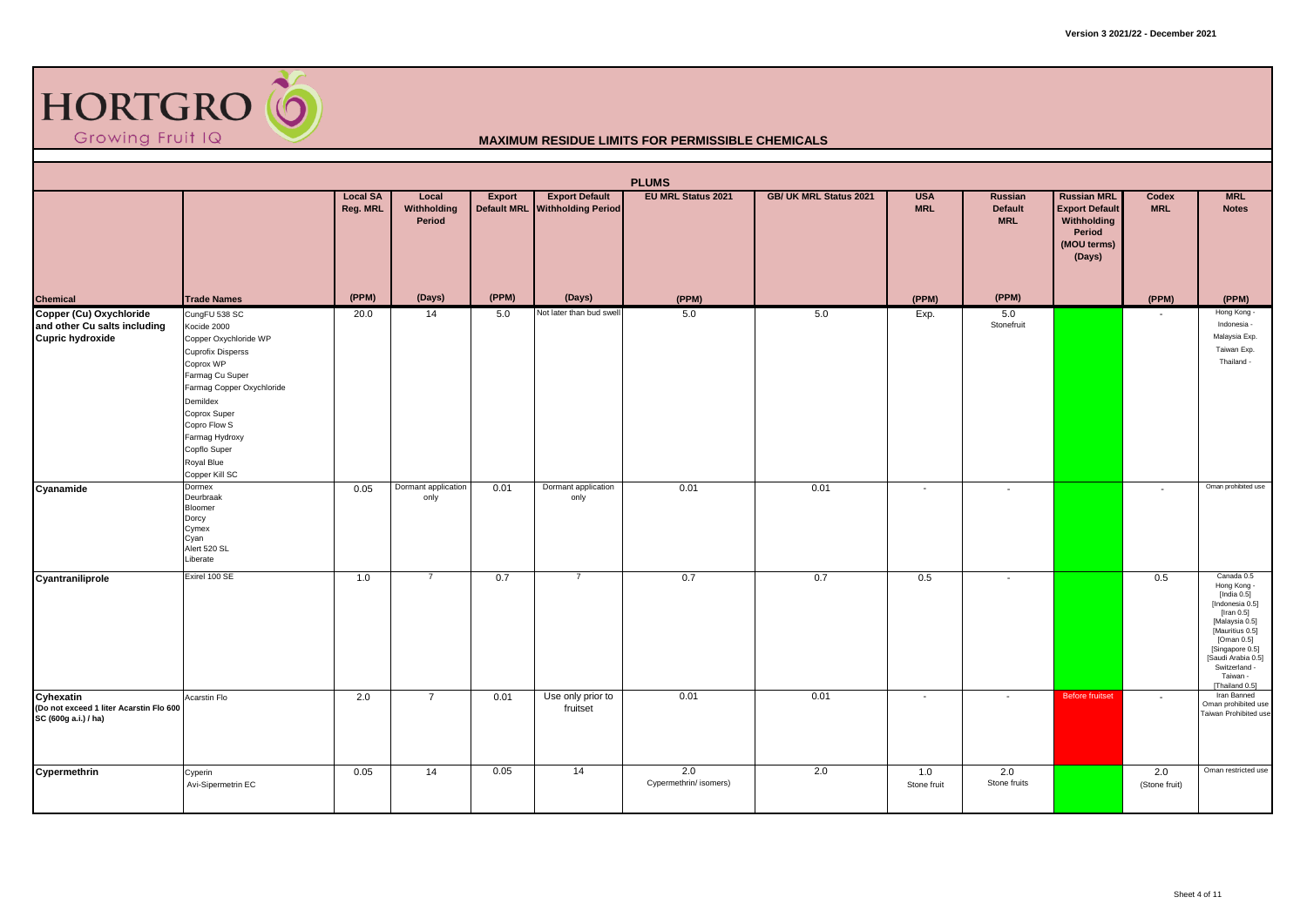

| <b>PLUMS</b><br><b>Export Default</b><br><b>EU MRL Status 2021</b><br><b>Local SA</b><br>Local<br>GB/ UK MRL Status 2021<br><b>USA</b><br><b>Russian MRL</b><br><b>MRL</b><br>Export<br>Russian<br>Codex |                                                                                                                                                                                                                                                              |          |                             |                    |                               |                               |      |                          |                              |                                                                         |                          |                                                                                                                                                                                                                            |  |
|----------------------------------------------------------------------------------------------------------------------------------------------------------------------------------------------------------|--------------------------------------------------------------------------------------------------------------------------------------------------------------------------------------------------------------------------------------------------------------|----------|-----------------------------|--------------------|-------------------------------|-------------------------------|------|--------------------------|------------------------------|-------------------------------------------------------------------------|--------------------------|----------------------------------------------------------------------------------------------------------------------------------------------------------------------------------------------------------------------------|--|
|                                                                                                                                                                                                          |                                                                                                                                                                                                                                                              | Reg. MRL | Withholding<br>Period       | <b>Default MRL</b> | <b>Withholding Period</b>     |                               |      | <b>MRL</b>               | <b>Default</b><br><b>MRL</b> | <b>Export Default</b><br>Withholding<br>Period<br>(MOU terms)<br>(Days) | <b>MRL</b>               | <b>Notes</b>                                                                                                                                                                                                               |  |
| Chemical                                                                                                                                                                                                 | <b>Trade Names</b>                                                                                                                                                                                                                                           | (PPM)    | (Days)                      | (PPM)              | (Days)                        | (PPM)                         |      | (PPM)                    | (PPM)                        |                                                                         | (PPM)                    | (PPM)                                                                                                                                                                                                                      |  |
| Copper (Cu) Oxychloride<br>and other Cu salts including<br><b>Cupric hydroxide</b>                                                                                                                       | CungFU 538 SC<br>Kocide 2000<br>Copper Oxychloride WP<br><b>Cuprofix Disperss</b><br>Coprox WP<br>Farmag Cu Super<br>Farmag Copper Oxychloride<br>Demildex<br>Coprox Super<br>Copro Flow S<br>Farmag Hydroxy<br>Copflo Super<br>Royal Blue<br>Copper Kill SC | 20.0     | 14                          | 5.0                | Not later than bud swel       | 5.0                           | 5.0  | Exp.                     | 5.0<br>Stonefruit            |                                                                         | $\overline{\phantom{a}}$ | Hong Kong -<br>Indonesia -<br>Malaysia Exp.<br>Taiwan Exp.<br>Thailand -                                                                                                                                                   |  |
| Cyanamide                                                                                                                                                                                                | Dormex<br>Deurbraak<br>Bloomer<br>Dorcy<br>Cymex<br>Cyan<br>Alert 520 SL<br>Liberate                                                                                                                                                                         | 0.05     | Dormant application<br>only | 0.01               | Dormant application<br>only   | 0.01                          | 0.01 | $\overline{\phantom{a}}$ | $\blacksquare$               |                                                                         | $\overline{\phantom{a}}$ | Oman prohibited use                                                                                                                                                                                                        |  |
| Cyantraniliprole                                                                                                                                                                                         | Exirel 100 SE                                                                                                                                                                                                                                                | 1.0      | $\overline{7}$              | 0.7                | $\overline{7}$                | 0.7                           | 0.7  | 0.5                      | $\overline{\phantom{a}}$     |                                                                         | 0.5                      | Canada 0.5<br>Hong Kong -<br>[India 0.5]<br>[Indonesia 0.5]<br>[Iran $0.5$ ]<br>[Malaysia 0.5]<br>[Mauritius 0.5]<br>[Oman $0.5$ ]<br>[Singapore 0.5]<br>[Saudi Arabia 0.5]<br>Switzerland -<br>Taiwan -<br>[Thailand 0.5] |  |
| Cyhexatin<br>(Do not exceed 1 liter Acarstin Flo 600<br>SC (600g a.i.) / ha)                                                                                                                             | Acarstin Flo                                                                                                                                                                                                                                                 | 2.0      | $\overline{7}$              | 0.01               | Use only prior to<br>fruitset | 0.01                          | 0.01 | $\overline{\phantom{a}}$ | $\sim$                       | <b>Before fruitset</b>                                                  | $\overline{\phantom{a}}$ | Iran Banned<br>Oman prohibited use<br>Taiwan Prohibited use                                                                                                                                                                |  |
| Cypermethrin                                                                                                                                                                                             | Cyperin<br>Avi-Sipermetrin EC                                                                                                                                                                                                                                | 0.05     | 14                          | 0.05               | 14                            | 2.0<br>Cypermethrin/ isomers) | 2.0  | 1.0<br>Stone fruit       | 2.0<br>Stone fruits          |                                                                         | 2.0<br>(Stone fruit)     | Oman restricted use                                                                                                                                                                                                        |  |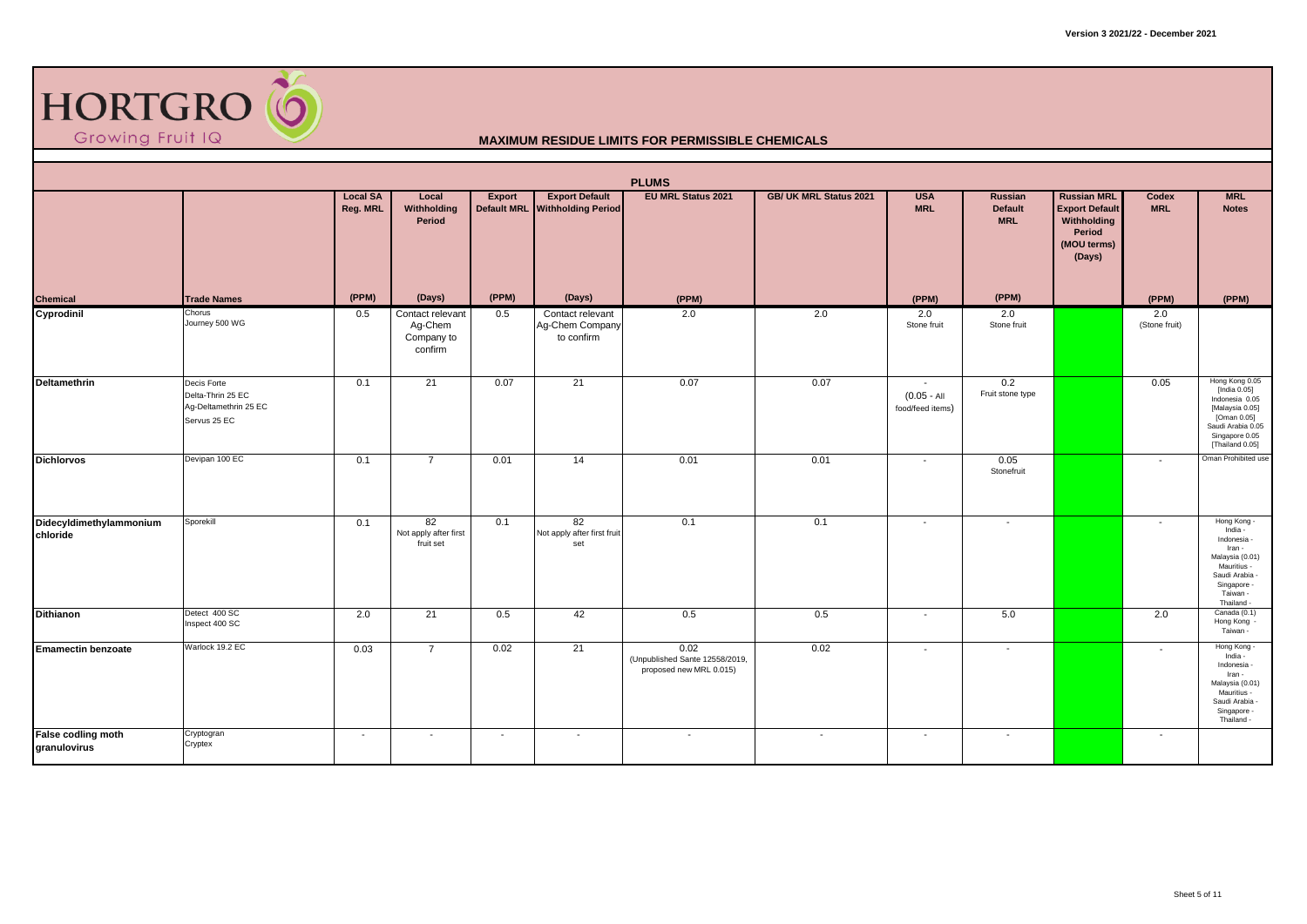

| <b>PLUMS</b><br><b>EU MRL Status 2021</b><br>GB/ UK MRL Status 2021 |                                                                           |                             |                                                      |                          |                                                         |                                                                   |        |                                                              |                                         |                                                                                               |                          |                                                                                                                                              |  |
|---------------------------------------------------------------------|---------------------------------------------------------------------------|-----------------------------|------------------------------------------------------|--------------------------|---------------------------------------------------------|-------------------------------------------------------------------|--------|--------------------------------------------------------------|-----------------------------------------|-----------------------------------------------------------------------------------------------|--------------------------|----------------------------------------------------------------------------------------------------------------------------------------------|--|
|                                                                     |                                                                           | <b>Local SA</b><br>Reg. MRL | Local<br>Withholding<br>Period                       | Export                   | <b>Export Default</b><br>Default MRL Withholding Period |                                                                   |        | <b>USA</b><br><b>MRL</b>                                     | Russian<br><b>Default</b><br><b>MRL</b> | <b>Russian MRL</b><br><b>Export Default</b><br>Withholding<br>Period<br>(MOU terms)<br>(Days) | Codex<br><b>MRL</b>      | <b>MRL</b><br><b>Notes</b>                                                                                                                   |  |
| Chemical                                                            | <b>Trade Names</b>                                                        | (PPM)                       | (Days)                                               | (PPM)                    | (Days)                                                  | (PPM)                                                             |        | (PPM)                                                        | (PPM)                                   |                                                                                               | (PPM)                    | (PPM)                                                                                                                                        |  |
| Cyprodinil                                                          | Chorus<br>Journey 500 WG                                                  | 0.5                         | Contact relevant<br>Ag-Chem<br>Company to<br>confirm | 0.5                      | Contact relevant<br>Ag-Chem Company<br>to confirm       | 2.0                                                               | 2.0    | 2.0<br>Stone fruit                                           | 2.0<br>Stone fruit                      |                                                                                               | 2.0<br>(Stone fruit)     |                                                                                                                                              |  |
| <b>Deltamethrin</b>                                                 | Decis Forte<br>Delta-Thrin 25 EC<br>Aq-Deltamethrin 25 EC<br>Servus 25 EC | 0.1                         | 21                                                   | 0.07                     | 21                                                      | 0.07                                                              | 0.07   | $\overline{\phantom{a}}$<br>$(0.05 - AI$<br>food/feed items) | 0.2<br>Fruit stone type                 |                                                                                               | 0.05                     | Hong Kong 0.05<br>[India 0.05]<br>Indonesia 0.05<br>[Malaysia 0.05]<br>[Oman 0.05]<br>Saudi Arabia 0.05<br>Singapore 0.05<br>[Thailand 0.05] |  |
| <b>Dichlorvos</b>                                                   | Devipan 100 EC                                                            | 0.1                         | $\overline{7}$                                       | 0.01                     | 14                                                      | 0.01                                                              | 0.01   | $\overline{\phantom{a}}$                                     | 0.05<br>Stonefruit                      |                                                                                               | $\sim$                   | Oman Prohibited use                                                                                                                          |  |
| Didecyldimethylammonium<br>chloride                                 | Sporekill                                                                 | 0.1                         | 82<br>Not apply after first<br>fruit set             | 0.1                      | 82<br>Not apply after first fruit<br>set                | 0.1                                                               | 0.1    | $\overline{\phantom{a}}$                                     | $\sim$                                  |                                                                                               | $\overline{\phantom{a}}$ | Hong Kong -<br>India -<br>Indonesia -<br>Iran -<br>Malaysia (0.01)<br>Mauritius -<br>Saudi Arabia -<br>Singapore -<br>Taiwan -<br>Thailand - |  |
| <b>Dithianon</b>                                                    | Detect 400 SC<br>Inspect 400 SC                                           | 2.0                         | 21                                                   | 0.5                      | 42                                                      | 0.5                                                               | 0.5    | $\overline{\phantom{a}}$                                     | 5.0                                     |                                                                                               | 2.0                      | Canada (0.1)<br>Hong Kong -<br>Taiwan -                                                                                                      |  |
| <b>Emamectin benzoate</b>                                           | Warlock 19.2 EC                                                           | 0.03                        | $\overline{7}$                                       | 0.02                     | 21                                                      | 0.02<br>(Unpublished Sante 12558/2019,<br>proposed new MRL 0.015) | 0.02   | $\overline{\phantom{a}}$                                     | $\overline{\phantom{a}}$                |                                                                                               | $\overline{\phantom{a}}$ | Hong Kong<br>India -<br>Indonesia -<br>Iran -<br>Malaysia (0.01)<br>Mauritius -<br>Saudi Arabia -<br>Singapore -<br>Thailand -               |  |
| False codling moth<br>granulovirus                                  | Cryptogran<br>Cryptex                                                     | $\sim$                      | $\overline{\phantom{a}}$                             | $\overline{\phantom{a}}$ | $\overline{\phantom{a}}$                                | $\sim$                                                            | $\sim$ | $\sim$                                                       | $\sim$                                  |                                                                                               | $\overline{\phantom{a}}$ |                                                                                                                                              |  |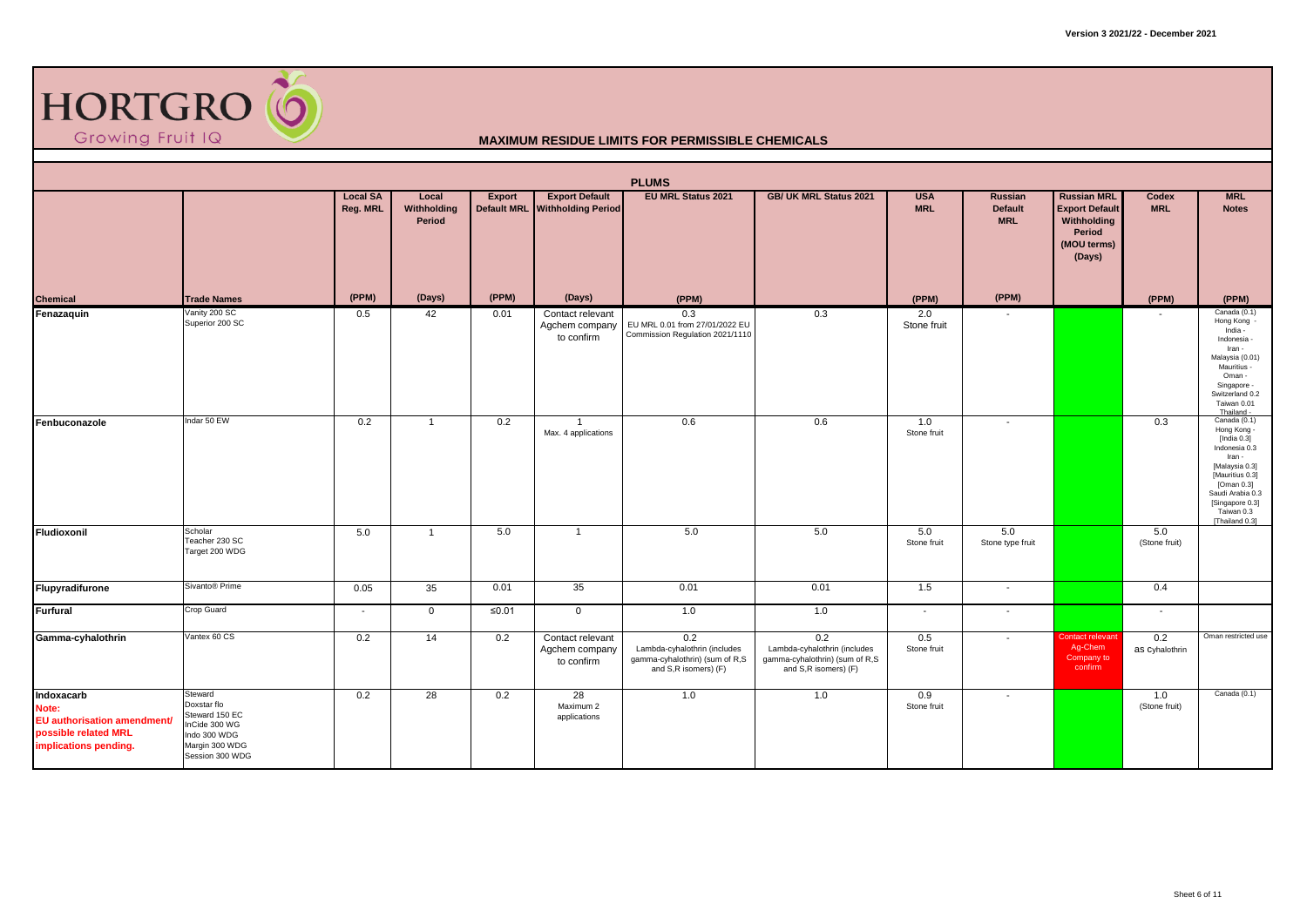

|                                                                                                     |                                                                                                                |                             |                                |        |                                                         | <b>PLUMS</b>                                                                                  |                                                                                               |                          |                                         |                                                                                               |                            |                                                                                                                                                                                                    |
|-----------------------------------------------------------------------------------------------------|----------------------------------------------------------------------------------------------------------------|-----------------------------|--------------------------------|--------|---------------------------------------------------------|-----------------------------------------------------------------------------------------------|-----------------------------------------------------------------------------------------------|--------------------------|-----------------------------------------|-----------------------------------------------------------------------------------------------|----------------------------|----------------------------------------------------------------------------------------------------------------------------------------------------------------------------------------------------|
|                                                                                                     |                                                                                                                | <b>Local SA</b><br>Reg. MRL | Local<br>Withholding<br>Period | Export | <b>Export Default</b><br>Default MRL Withholding Period | <b>EU MRL Status 2021</b>                                                                     | GB/ UK MRL Status 2021                                                                        | <b>USA</b><br><b>MRL</b> | Russian<br><b>Default</b><br><b>MRL</b> | <b>Russian MRL</b><br><b>Export Default</b><br>Withholding<br>Period<br>(MOU terms)<br>(Days) | <b>Codex</b><br><b>MRL</b> | <b>MRL</b><br><b>Notes</b>                                                                                                                                                                         |
| <b>Chemical</b>                                                                                     | <b>Trade Names</b>                                                                                             | (PPM)                       | (Days)                         | (PPM)  | (Days)                                                  | (PPM)                                                                                         |                                                                                               | (PPM)                    | (PPM)                                   |                                                                                               | (PPM)                      | (PPM)                                                                                                                                                                                              |
| Fenazaquin                                                                                          | Vanity 200 SC<br>Superior 200 SC                                                                               | 0.5                         | 42                             | 0.01   | Contact relevant<br>Agchem company<br>to confirm        | 0.3<br>EU MRL 0.01 from 27/01/2022 EU<br>Commission Regulation 2021/1110                      | 0.3                                                                                           | 2.0<br>Stone fruit       | $\overline{\phantom{a}}$                |                                                                                               |                            | Canada (0.1)<br>Hong Kong -<br>India -<br>Indonesia -<br>Iran -<br>Malaysia (0.01)<br>Mauritius -<br>Oman -<br>Singapore -<br>Switzerland 0.2<br>Taiwan 0.01<br>Thailand -                         |
| Fenbuconazole                                                                                       | Indar 50 EW                                                                                                    | 0.2                         | $\overline{1}$                 | 0.2    | $\overline{1}$<br>Max. 4 applications                   | 0.6                                                                                           | 0.6                                                                                           | 1.0<br>Stone fruit       | $\overline{\phantom{a}}$                |                                                                                               | 0.3                        | Canada (0.1)<br>Hong Kong -<br>[India $0.3$ ]<br>Indonesia 0.3<br>Iran -<br>[Malaysia 0.3]<br>[Mauritius 0.3]<br>[Oman 0.3]<br>Saudi Arabia 0.3<br>[Singapore 0.3]<br>Taiwan 0.3<br>[Thailand 0.3] |
| Fludioxonil                                                                                         | Scholar<br>Teacher 230 SC<br>Target 200 WDG                                                                    | 5.0                         | $\overline{1}$                 | 5.0    | $\overline{1}$                                          | 5.0                                                                                           | 5.0                                                                                           | 5.0<br>Stone fruit       | 5.0<br>Stone type fruit                 |                                                                                               | 5.0<br>(Stone fruit)       |                                                                                                                                                                                                    |
| Flupyradifurone                                                                                     | Sivanto® Prime                                                                                                 | 0.05                        | 35                             | 0.01   | 35                                                      | 0.01                                                                                          | 0.01                                                                                          | 1.5                      | $\sim$                                  |                                                                                               | 0.4                        |                                                                                                                                                                                                    |
| <b>Furfural</b>                                                                                     | Crop Guard                                                                                                     | $\overline{\phantom{a}}$    | $\mathbf 0$                    | ≤0.01  | $\mathbf 0$                                             | 1.0                                                                                           | 1.0                                                                                           | $\overline{\phantom{a}}$ | $\sim$                                  |                                                                                               | $\sim$                     |                                                                                                                                                                                                    |
| Gamma-cyhalothrin                                                                                   | Vantex 60 CS                                                                                                   | 0.2                         | 14                             | 0.2    | Contact relevant<br>Agchem company<br>to confirm        | 0.2<br>Lambda-cyhalothrin (includes<br>gamma-cyhalothrin) (sum of R,S<br>and S,R isomers) (F) | 0.2<br>Lambda-cyhalothrin (includes<br>gamma-cyhalothrin) (sum of R,S<br>and S,R isomers) (F) | 0.5<br>Stone fruit       | $\overline{\phantom{a}}$                | Contact relevant<br>Ag-Chem<br>Company to<br>confirm                                          | 0.2<br>as Cyhalothrin      | Oman restricted use                                                                                                                                                                                |
| Indoxacarb<br>Note:<br>EU authorisation amendment/<br>possible related MRL<br>implications pending. | Steward<br>Doxstar flo<br>Steward 150 EC<br>InCide 300 WG<br>Indo 300 WDG<br>Margin 300 WDG<br>Session 300 WDG | 0.2                         | 28                             | 0.2    | 28<br>Maximum 2<br>applications                         | 1.0                                                                                           | 1.0                                                                                           | 0.9<br>Stone fruit       | $\overline{\phantom{a}}$                |                                                                                               | 1.0<br>(Stone fruit)       | Canada (0.1)                                                                                                                                                                                       |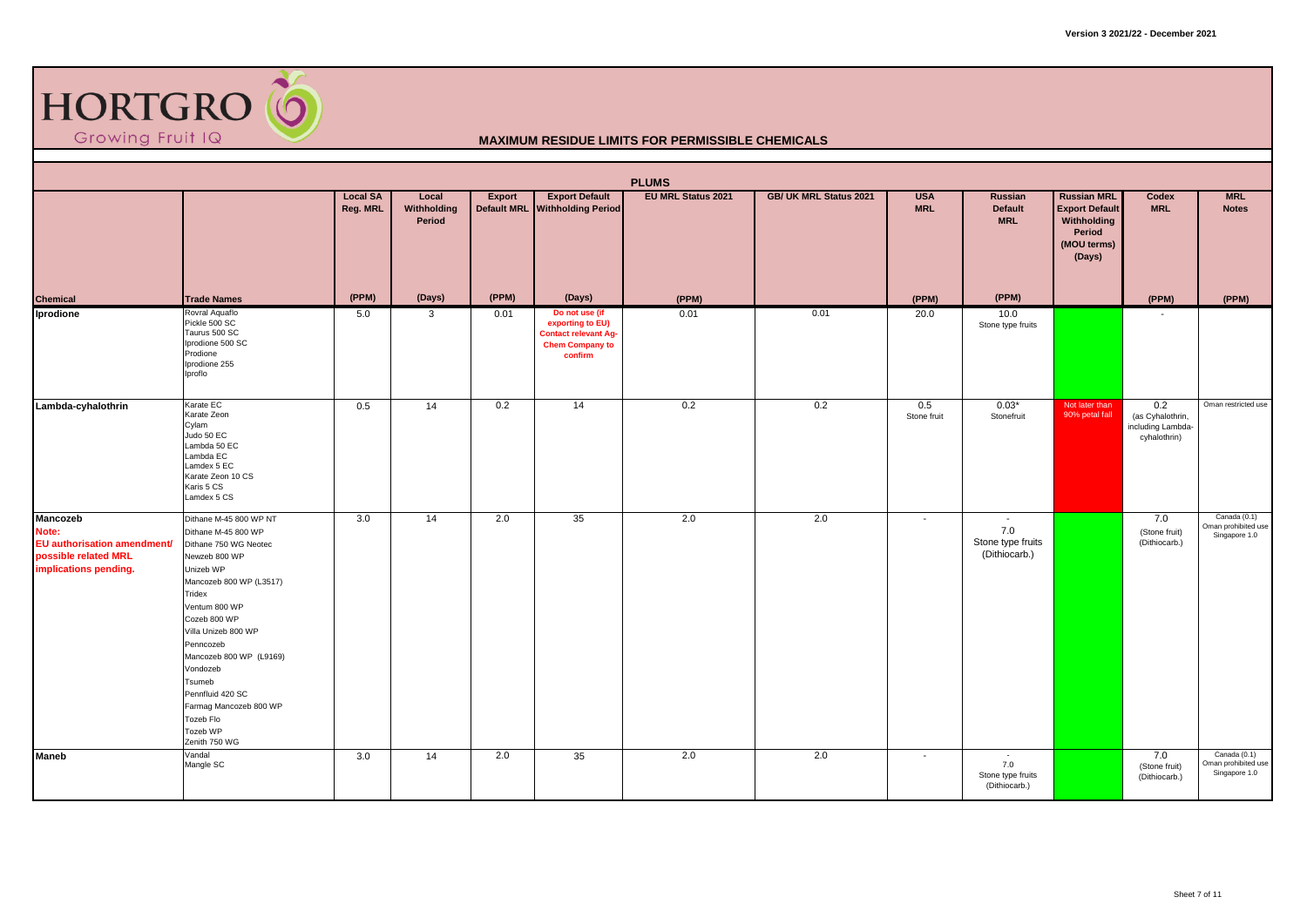

| <b>PLUMS</b><br><b>Export Default</b><br><b>Local SA</b><br><b>EU MRL Status 2021</b><br>GB/ UK MRL Status 2021<br><b>USA</b><br><b>Russian MRL</b><br><b>MRL</b><br>Local<br>Export<br>Russian<br>Codex |                                                                                                                                                                                                                                                                                                                                                         |          |                       |       |                                                                                                        |       |      |                          |                                                     |                                                                         |                                                              |                                                      |  |
|----------------------------------------------------------------------------------------------------------------------------------------------------------------------------------------------------------|---------------------------------------------------------------------------------------------------------------------------------------------------------------------------------------------------------------------------------------------------------------------------------------------------------------------------------------------------------|----------|-----------------------|-------|--------------------------------------------------------------------------------------------------------|-------|------|--------------------------|-----------------------------------------------------|-------------------------------------------------------------------------|--------------------------------------------------------------|------------------------------------------------------|--|
|                                                                                                                                                                                                          |                                                                                                                                                                                                                                                                                                                                                         | Reg. MRL | Withholding<br>Period |       | Default MRL Withholding Period                                                                         |       |      | <b>MRL</b>               | <b>Default</b><br><b>MRL</b>                        | <b>Export Default</b><br>Withholding<br>Period<br>(MOU terms)<br>(Days) | <b>MRL</b>                                                   | <b>Notes</b>                                         |  |
| <b>Chemical</b>                                                                                                                                                                                          | <b>Trade Names</b>                                                                                                                                                                                                                                                                                                                                      | (PPM)    | (Days)                | (PPM) | (Days)                                                                                                 | (PPM) |      | (PPM)                    | (PPM)                                               |                                                                         | (PPM)                                                        | (PPM)                                                |  |
| Iprodione                                                                                                                                                                                                | Rovral Aquaflo<br>Pickle 500 SC<br>Taurus 500 SC<br>Iprodione 500 SC<br>Prodione<br>Iprodione 255<br>Iproflo                                                                                                                                                                                                                                            | 5.0      | $\mathbf{3}$          | 0.01  | Do not use (if<br>exporting to EU)<br><b>Contact relevant Ag-</b><br><b>Chem Company to</b><br>confirm | 0.01  | 0.01 | 20.0                     | 10.0<br>Stone type fruits                           |                                                                         | $\overline{\phantom{a}}$                                     |                                                      |  |
| Lambda-cyhalothrin                                                                                                                                                                                       | Karate EC<br>Karate Zeon<br>Cylam<br>Judo 50 EC<br>Lambda 50 EC<br>Lambda EC<br>Lamdex 5 EC<br>Karate Zeon 10 CS<br>Karis 5 CS<br>Lamdex 5 CS                                                                                                                                                                                                           | 0.5      | 14                    | 0.2   | 14                                                                                                     | 0.2   | 0.2  | 0.5<br>Stone fruit       | $0.03*$<br>Stonefruit                               | Not later than<br>90% petal fall                                        | 0.2<br>(as Cyhalothrin,<br>including Lambda-<br>cyhalothrin) | Oman restricted use                                  |  |
| Mancozeb<br>Note:<br>EU authorisation amendment/<br>possible related MRL<br>implications pending.                                                                                                        | Dithane M-45 800 WP NT<br>Dithane M-45 800 WP<br>Dithane 750 WG Neotec<br>Newzeb 800 WP<br>Unizeb WP<br>Mancozeb 800 WP (L3517)<br>Tridex<br>Ventum 800 WP<br>Cozeb 800 WP<br>Villa Unizeb 800 WP<br>Penncozeb<br>Mancozeb 800 WP (L9169)<br>Vondozeb<br>Tsumeb<br>Pennfluid 420 SC<br>Farmag Mancozeb 800 WP<br>Tozeb Flo<br>Tozeb WP<br>Zenith 750 WG | 3.0      | 14                    | 2.0   | 35                                                                                                     | 2.0   | 2.0  | $\overline{\phantom{a}}$ | $\sim$<br>7.0<br>Stone type fruits<br>(Dithiocarb.) |                                                                         | 7.0<br>(Stone fruit)<br>(Dithiocarb.)                        | Canada (0.1)<br>Oman prohibited use<br>Singapore 1.0 |  |
| Maneb                                                                                                                                                                                                    | Vandal<br>Mangle SC                                                                                                                                                                                                                                                                                                                                     | 3.0      | 14                    | 2.0   | 35                                                                                                     | 2.0   | 2.0  | $\sim$                   | $\sim$<br>7.0<br>Stone type fruits<br>(Dithiocarb.) |                                                                         | 7.0<br>(Stone fruit)<br>(Dithiocarb.)                        | Canada (0.1)<br>Oman prohibited use<br>Singapore 1.0 |  |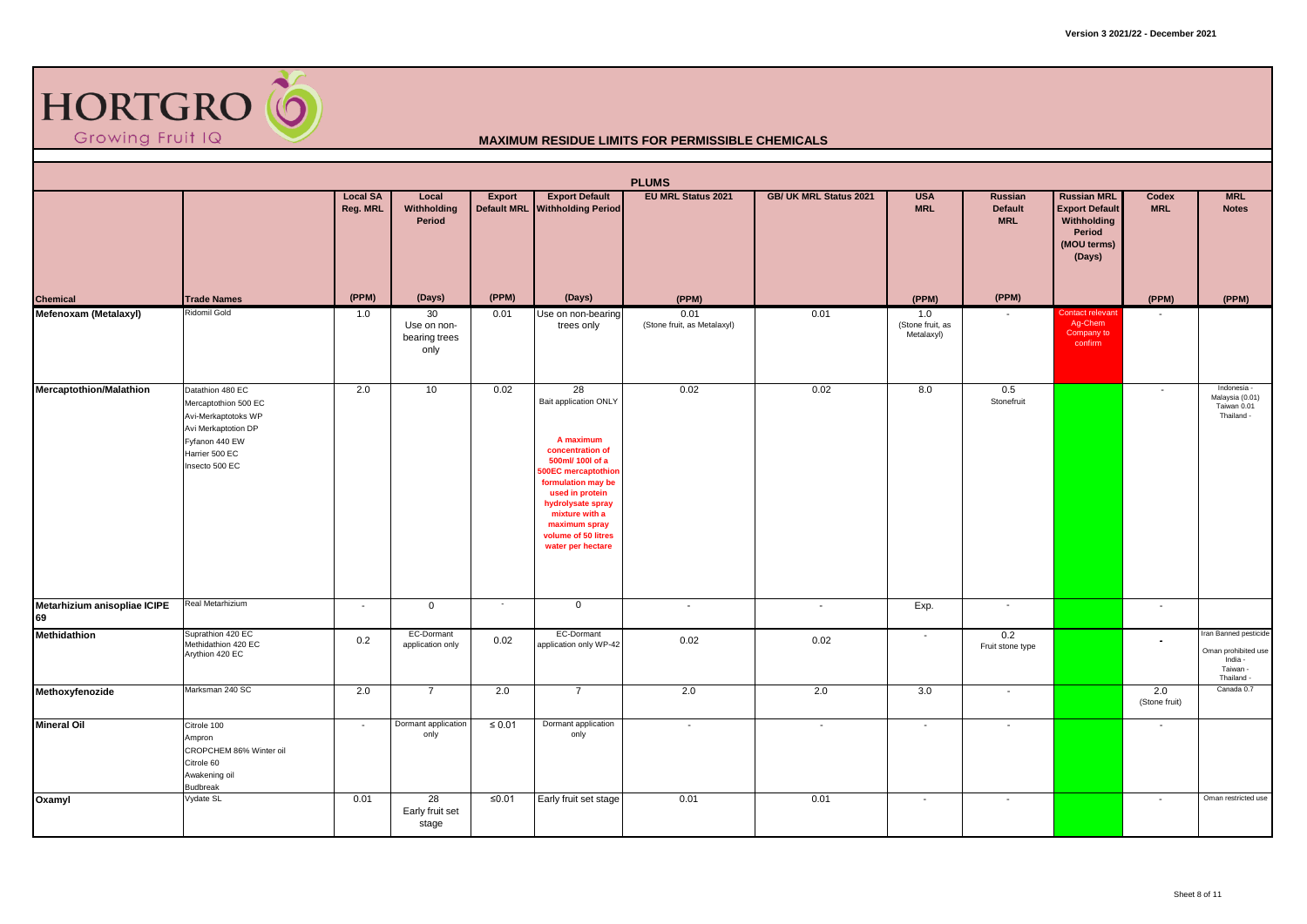

|                                    |                                                                                                                                              |                             |                                            |                              |                                                                                                                                                                                                                                                            | <b>PLUMS</b>                        |                          |                                       |                                                |                                                                                               |                          |                                                                                   |
|------------------------------------|----------------------------------------------------------------------------------------------------------------------------------------------|-----------------------------|--------------------------------------------|------------------------------|------------------------------------------------------------------------------------------------------------------------------------------------------------------------------------------------------------------------------------------------------------|-------------------------------------|--------------------------|---------------------------------------|------------------------------------------------|-----------------------------------------------------------------------------------------------|--------------------------|-----------------------------------------------------------------------------------|
|                                    |                                                                                                                                              | <b>Local SA</b><br>Reg. MRL | Local<br>Withholding<br>Period             | Export<br><b>Default MRL</b> | <b>Export Default</b><br><b>Withholding Period</b>                                                                                                                                                                                                         | EU MRL Status 2021                  | GB/ UK MRL Status 2021   | <b>USA</b><br><b>MRL</b>              | <b>Russian</b><br><b>Default</b><br><b>MRL</b> | <b>Russian MRL</b><br><b>Export Default</b><br>Withholding<br>Period<br>(MOU terms)<br>(Days) | Codex<br><b>MRL</b>      | <b>MRL</b><br><b>Notes</b>                                                        |
| Chemical<br>Mefenoxam (Metalaxyl)  | <b>Trade Names</b>                                                                                                                           | (PPM)                       | (Days)                                     | (PPM)                        | (Days)                                                                                                                                                                                                                                                     | (PPM)                               |                          | (PPM)                                 | (PPM)                                          |                                                                                               | (PPM)                    | (PPM)                                                                             |
|                                    | Ridomil Gold                                                                                                                                 | 1.0                         | 30<br>Use on non-<br>bearing trees<br>only | 0.01                         | Use on non-bearing<br>trees only                                                                                                                                                                                                                           | 0.01<br>(Stone fruit, as Metalaxyl) | 0.01                     | 1.0<br>(Stone fruit, as<br>Metalaxyl) |                                                | Contact relevant<br>Ag-Chem<br>Company to<br>confirm                                          |                          |                                                                                   |
| <b>Mercaptothion/Malathion</b>     | Datathion 480 EC<br>Mercaptothion 500 EC<br>Avi-Merkaptotoks WP<br>Avi Merkaptotion DP<br>Fyfanon 440 EW<br>Harrier 500 EC<br>Insecto 500 EC | 2.0                         | 10                                         | 0.02                         | 28<br>Bait application ONLY<br>A maximum<br>concentration of<br>500ml/ 100l of a<br><b>60EC</b> mercaptothion<br>formulation may be<br>used in protein<br>hydrolysate spray<br>mixture with a<br>maximum spray<br>volume of 50 litres<br>water per hectare | 0.02                                | 0.02                     | 8.0                                   | 0.5<br>Stonefruit                              |                                                                                               | $\overline{\phantom{a}}$ | Indonesia -<br>Malaysia (0.01)<br>Taiwan 0.01<br>Thailand -                       |
| Metarhizium anisopliae ICIPE<br>69 | Real Metarhizium                                                                                                                             | $\overline{\phantom{a}}$    | $\mathbf 0$                                | $\sim$                       | $\mathbf 0$                                                                                                                                                                                                                                                | $\sim$                              | $\sim$                   | Exp.                                  | $\sim$                                         |                                                                                               | $\sim$                   |                                                                                   |
| Methidathion                       | Suprathion 420 EC<br>Methidathion 420 EC<br>Arythion 420 EC                                                                                  | 0.2                         | EC-Dormant<br>application only             | 0.02                         | EC-Dormant<br>application only WP-42                                                                                                                                                                                                                       | 0.02                                | 0.02                     |                                       | 0.2<br>Fruit stone type                        |                                                                                               | $\blacksquare$           | Iran Banned pesticide<br>Oman prohibited use<br>India -<br>Taiwan -<br>Thailand - |
| Methoxyfenozide                    | Marksman 240 SC                                                                                                                              | 2.0                         | $\overline{7}$                             | 2.0                          | $\overline{7}$                                                                                                                                                                                                                                             | 2.0                                 | 2.0                      | 3.0                                   | $\overline{\phantom{a}}$                       |                                                                                               | 2.0<br>(Stone fruit)     | Canada 0.7                                                                        |
| <b>Mineral Oil</b>                 | Citrole 100<br>Ampron<br>CROPCHEM 86% Winter oil<br>Citrole 60<br>Awakening oil<br><b>Budbreak</b>                                           | $\overline{\phantom{a}}$    | Dormant application<br>only                | $\leq 0.01$                  | Dormant application<br>only                                                                                                                                                                                                                                | $\overline{\phantom{a}}$            | $\overline{\phantom{a}}$ |                                       | $\overline{\phantom{a}}$                       |                                                                                               | $\overline{\phantom{a}}$ |                                                                                   |
| Oxamyl                             | Vydate SL                                                                                                                                    | 0.01                        | 28<br>Early fruit set<br>stage             | $≤0.01$                      | Early fruit set stage                                                                                                                                                                                                                                      | 0.01                                | 0.01                     | $\overline{\phantom{a}}$              | $\sim$                                         |                                                                                               | $\overline{\phantom{a}}$ | Oman restricted use                                                               |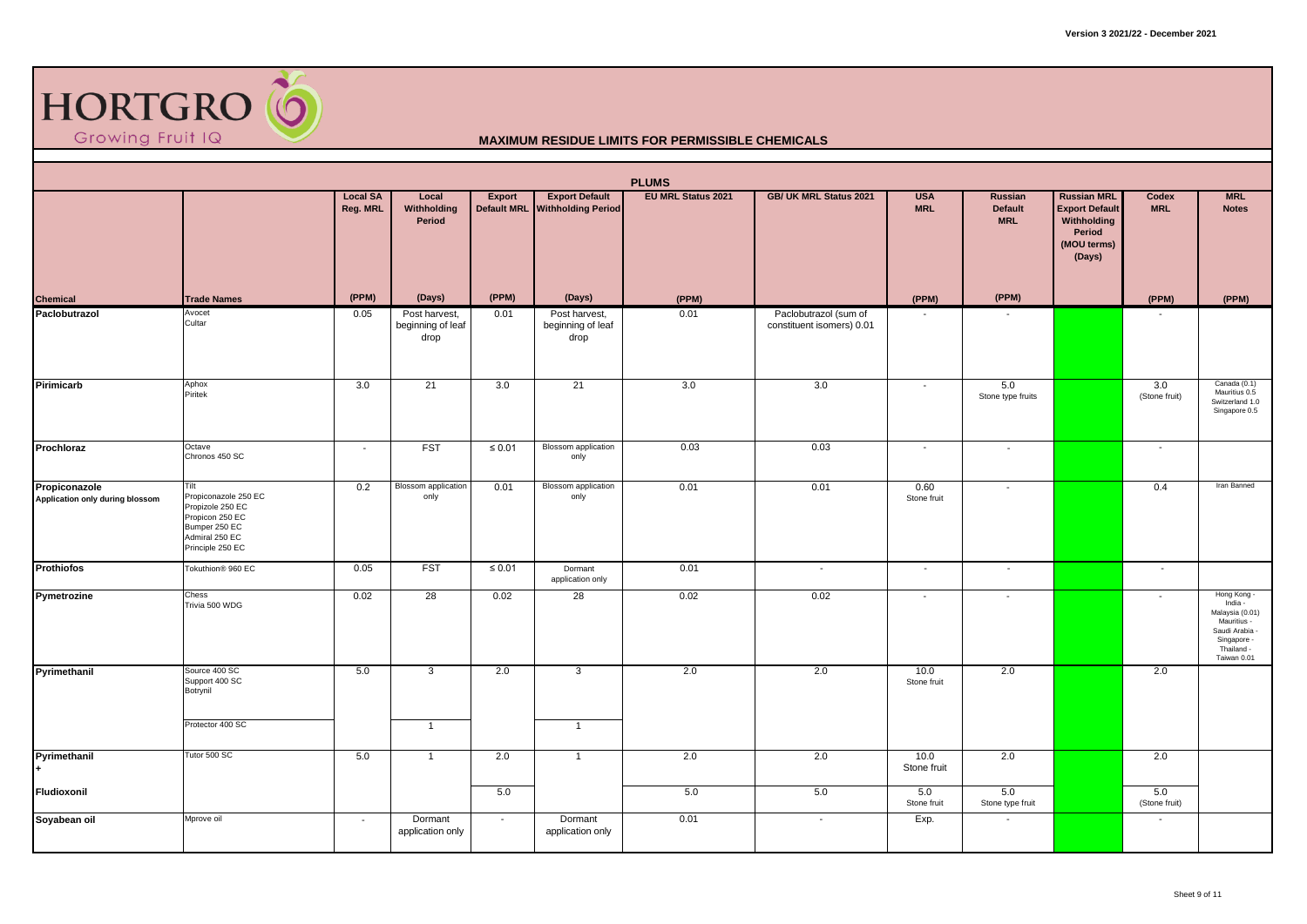

|                                                  |                                                                                                                            |                             |                                            |             |                                                         | <b>PLUMS</b>              |                                                    |                          |                                                |                                                                                               |                      |                                                                                                                        |
|--------------------------------------------------|----------------------------------------------------------------------------------------------------------------------------|-----------------------------|--------------------------------------------|-------------|---------------------------------------------------------|---------------------------|----------------------------------------------------|--------------------------|------------------------------------------------|-----------------------------------------------------------------------------------------------|----------------------|------------------------------------------------------------------------------------------------------------------------|
|                                                  |                                                                                                                            | <b>Local SA</b><br>Reg. MRL | Local<br>Withholding<br>Period             | Export      | <b>Export Default</b><br>Default MRL Withholding Period | <b>EU MRL Status 2021</b> | GB/ UK MRL Status 2021                             | <b>USA</b><br><b>MRL</b> | <b>Russian</b><br><b>Default</b><br><b>MRL</b> | <b>Russian MRL</b><br><b>Export Default</b><br>Withholding<br>Period<br>(MOU terms)<br>(Days) | Codex<br><b>MRL</b>  | <b>MRL</b><br><b>Notes</b>                                                                                             |
| <b>Chemical</b>                                  | <b>Trade Names</b>                                                                                                         | (PPM)                       | (Days)                                     | (PPM)       | (Days)                                                  | (PPM)                     |                                                    | (PPM)                    | (PPM)                                          |                                                                                               | (PPM)                | (PPM)                                                                                                                  |
| Paclobutrazol                                    | Avocet<br>Cultar                                                                                                           | 0.05                        | Post harvest,<br>beginning of leaf<br>drop | 0.01        | Post harvest,<br>beginning of leaf<br>drop              | 0.01                      | Paclobutrazol (sum of<br>constituent isomers) 0.01 |                          |                                                |                                                                                               |                      |                                                                                                                        |
| Pirimicarb                                       | Aphox<br>Piritek                                                                                                           | 3.0                         | 21                                         | 3.0         | 21                                                      | 3.0                       | 3.0                                                |                          | 5.0<br>Stone type fruits                       |                                                                                               | 3.0<br>(Stone fruit) | Canada (0.1)<br>Mauritius 0.5<br>Switzerland 1.0<br>Singapore 0.5                                                      |
| Prochloraz                                       | Octave<br>Chronos 450 SC                                                                                                   | $\sim$                      | <b>FST</b>                                 | $\leq 0.01$ | Blossom application<br>only                             | 0.03                      | 0.03                                               | $\overline{\phantom{a}}$ | $\overline{\phantom{a}}$                       |                                                                                               | $\sim$               |                                                                                                                        |
| Propiconazole<br>Application only during blossom | Tilt<br>Propiconazole 250 EC<br>Propizole 250 EC<br>Propicon 250 EC<br>Bumper 250 EC<br>Admiral 250 EC<br>Principle 250 EC | 0.2                         | <b>Blossom</b> application<br>only         | 0.01        | Blossom application<br>only                             | 0.01                      | 0.01                                               | 0.60<br>Stone fruit      | $\overline{\phantom{a}}$                       |                                                                                               | 0.4                  | Iran Banned                                                                                                            |
| Prothiofos                                       | Tokuthion® 960 EC                                                                                                          | 0.05                        | <b>FST</b>                                 | $\leq 0.01$ | Dormant<br>application only                             | 0.01                      | $\overline{\phantom{a}}$                           | $\sim$                   | $\sim$                                         |                                                                                               | $\sim$               |                                                                                                                        |
| Pymetrozine                                      | Chess<br>Trivia 500 WDG                                                                                                    | 0.02                        | 28                                         | 0.02        | 28                                                      | 0.02                      | 0.02                                               | $\overline{\phantom{a}}$ | $\overline{\phantom{a}}$                       |                                                                                               |                      | Hong Kong -<br>India -<br>Malaysia (0.01)<br>Mauritius -<br>Saudi Arabia -<br>Singapore -<br>Thailand -<br>Taiwan 0.01 |
| Pyrimethanil                                     | Source 400 SC<br>Support 400 SC<br>Botrynil                                                                                | 5.0                         | 3                                          | 2.0         | $\mathbf{3}$                                            | 2.0                       | 2.0                                                | 10.0<br>Stone fruit      | 2.0                                            |                                                                                               | 2.0                  |                                                                                                                        |
|                                                  | Protector 400 SC                                                                                                           |                             | $\mathbf{1}$                               |             | $\overline{1}$                                          |                           |                                                    |                          |                                                |                                                                                               |                      |                                                                                                                        |
| Pyrimethanil                                     | Tutor 500 SC                                                                                                               | 5.0                         | $\mathbf{1}$                               | 2.0         | $\overline{1}$                                          | 2.0                       | 2.0                                                | 10.0<br>Stone fruit      | 2.0                                            |                                                                                               | 2.0                  |                                                                                                                        |
| Fludioxonil                                      |                                                                                                                            |                             |                                            | 5.0         |                                                         | 5.0                       | 5.0                                                | 5.0<br>Stone fruit       | 5.0<br>Stone type fruit                        |                                                                                               | 5.0<br>(Stone fruit) |                                                                                                                        |
| Soyabean oil                                     | Mprove oil                                                                                                                 | $\sim$                      | Dormant<br>application only                | $\sim$      | Dormant<br>application only                             | 0.01                      | $\sim$                                             | Exp.                     | $\sim$                                         |                                                                                               | $\sim$               |                                                                                                                        |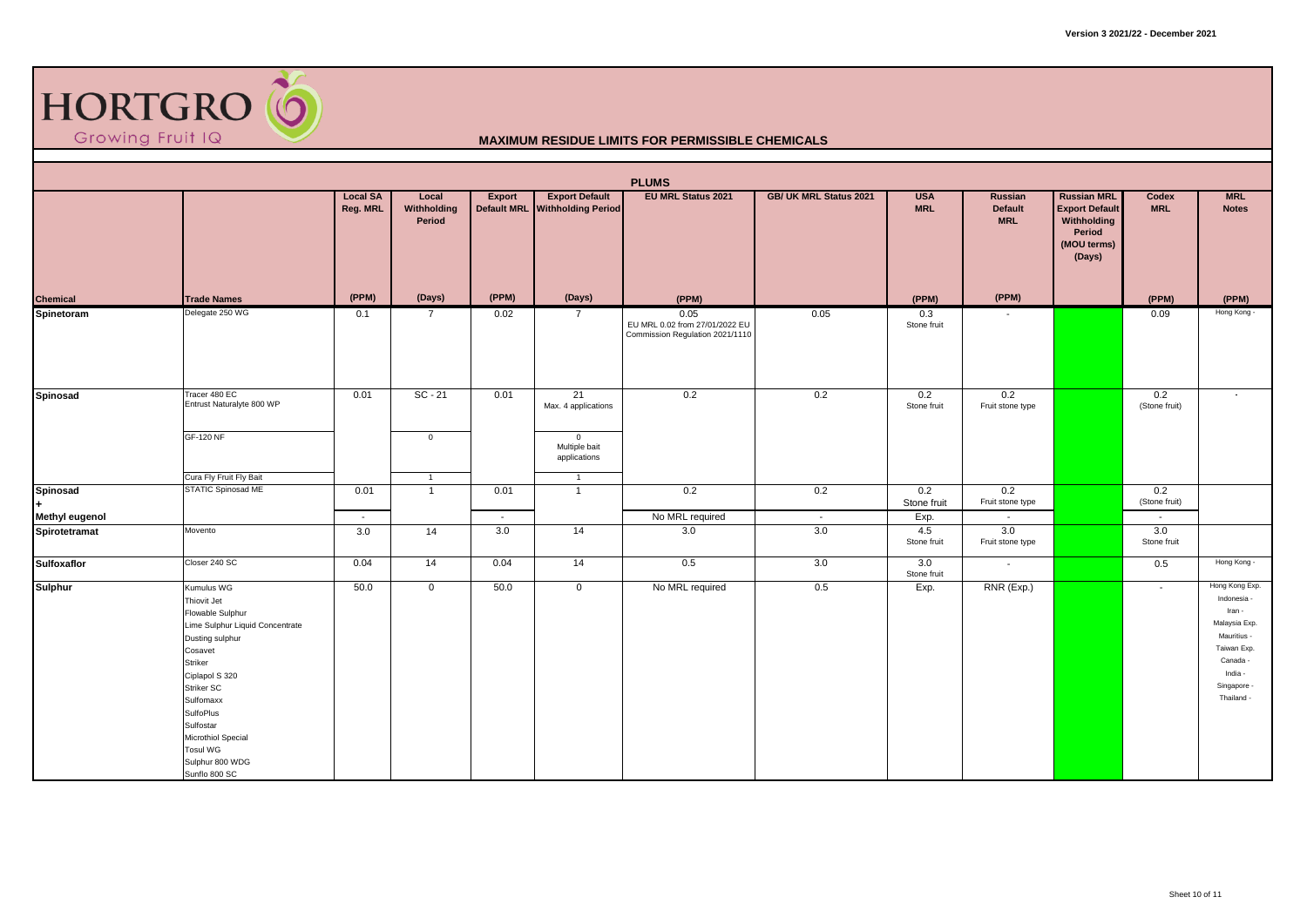

|                       |                                                                                                                                                                                                                                                                                      |                             |                                |        |                                                         | <b>PLUMS</b>                                                              |                        |                          |                                  |                                                                                               |                          |                                                                                                                                            |
|-----------------------|--------------------------------------------------------------------------------------------------------------------------------------------------------------------------------------------------------------------------------------------------------------------------------------|-----------------------------|--------------------------------|--------|---------------------------------------------------------|---------------------------------------------------------------------------|------------------------|--------------------------|----------------------------------|-----------------------------------------------------------------------------------------------|--------------------------|--------------------------------------------------------------------------------------------------------------------------------------------|
|                       |                                                                                                                                                                                                                                                                                      | <b>Local SA</b><br>Reg. MRL | Local<br>Withholding<br>Period | Export | <b>Export Default</b><br>Default MRL Withholding Period | <b>EU MRL Status 2021</b>                                                 | GB/ UK MRL Status 2021 | <b>USA</b><br><b>MRL</b> | Russian<br>Default<br><b>MRL</b> | <b>Russian MRL</b><br><b>Export Default</b><br>Withholding<br>Period<br>(MOU terms)<br>(Days) | Codex<br><b>MRL</b>      | <b>MRL</b><br><b>Notes</b>                                                                                                                 |
| <b>Chemical</b>       | <b>Trade Names</b>                                                                                                                                                                                                                                                                   | (PPM)                       | (Days)                         | (PPM)  | (Days)                                                  | (PPM)                                                                     |                        | (PPM)                    | (PPM)                            |                                                                                               | (PPM)                    | (PPM)                                                                                                                                      |
| Spinetoram            | Delegate 250 WG                                                                                                                                                                                                                                                                      | 0.1                         | $\overline{7}$                 | 0.02   | $\overline{7}$                                          | 0.05<br>EU MRL 0.02 from 27/01/2022 EU<br>Commission Regulation 2021/1110 | 0.05                   | 0.3<br>Stone fruit       | $\sim$                           |                                                                                               | 0.09                     | Hong Kong -                                                                                                                                |
| Spinosad              | Tracer 480 EC<br>Entrust Naturalyte 800 WP                                                                                                                                                                                                                                           | 0.01                        | $SC - 21$                      | 0.01   | 21<br>Max. 4 applications                               | 0.2                                                                       | 0.2                    | 0.2<br>Stone fruit       | 0.2<br>Fruit stone type          |                                                                                               | 0.2<br>(Stone fruit)     |                                                                                                                                            |
|                       | <b>GF-120 NF</b>                                                                                                                                                                                                                                                                     |                             | $\overline{0}$                 |        | $\overline{0}$<br>Multiple bait<br>applications         |                                                                           |                        |                          |                                  |                                                                                               |                          |                                                                                                                                            |
|                       | Cura Fly Fruit Fly Bait                                                                                                                                                                                                                                                              |                             | $\overline{1}$                 |        | $\overline{1}$                                          |                                                                           |                        |                          |                                  |                                                                                               |                          |                                                                                                                                            |
| Spinosad              | STATIC Spinosad ME                                                                                                                                                                                                                                                                   | 0.01                        | $\mathbf{1}$                   | 0.01   | $\overline{1}$                                          | 0.2                                                                       | 0.2                    | 0.2<br>Stone fruit       | 0.2<br>Fruit stone type          |                                                                                               | 0.2<br>(Stone fruit)     |                                                                                                                                            |
| <b>Methyl eugenol</b> |                                                                                                                                                                                                                                                                                      | $\sim$                      |                                | $\sim$ |                                                         | No MRL required                                                           | $\sim$                 | Exp.                     | $\sim$                           |                                                                                               | $\overline{\phantom{a}}$ |                                                                                                                                            |
| Spirotetramat         | Movento                                                                                                                                                                                                                                                                              | 3.0                         | 14                             | 3.0    | 14                                                      | 3.0                                                                       | 3.0                    | 4.5<br>Stone fruit       | 3.0<br>Fruit stone type          |                                                                                               | 3.0<br>Stone fruit       |                                                                                                                                            |
| <b>Sulfoxaflor</b>    | Closer 240 SC                                                                                                                                                                                                                                                                        | 0.04                        | 14                             | 0.04   | 14                                                      | 0.5                                                                       | 3.0                    | 3.0<br>Stone fruit       | $\sim$                           |                                                                                               | 0.5                      | Hong Kong -                                                                                                                                |
| <b>Sulphur</b>        | Kumulus WG<br>Thiovit Jet<br>Flowable Sulphur<br>Lime Sulphur Liquid Concentrate<br>Dusting sulphur<br>Cosavet<br>Striker<br>Ciplapol S 320<br><b>Striker SC</b><br>Sulfomaxx<br>SulfoPlus<br>Sulfostar<br>Microthiol Special<br><b>Tosul WG</b><br>Sulphur 800 WDG<br>Sunflo 800 SC | 50.0                        | $\mathbf 0$                    | 50.0   | $\mathbf{0}$                                            | No MRL required                                                           | 0.5                    | Exp.                     | RNR (Exp.)                       |                                                                                               | $\sim$                   | Hong Kong Exp.<br>Indonesia -<br>Iran -<br>Malaysia Exp.<br>Mauritius -<br>Taiwan Exp.<br>Canada -<br>India -<br>Singapore -<br>Thailand - |